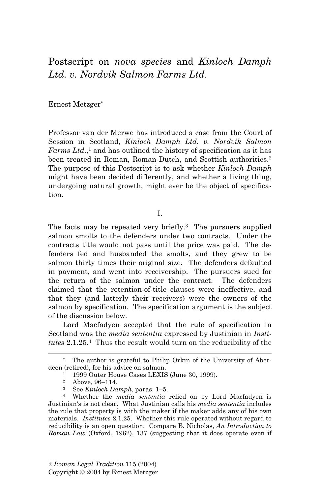Postscript on *nova species* and *Kinloch Damph Ltd. v. Nordvik Salmon Farms Ltd*.

Ernest Metzger\*

Professor van der Merwe has introduced a case from the Court of Session in Scotland, *Kinloch Damph Ltd. v. Nordvik Salmon Farms Ltd.*,<sup>1</sup> and has outlined the history of specification as it has been treated in Roman, Roman-Dutch, and Scottish authorities.<sup>2</sup> The purpose of this Postscript is to ask whether *Kinloch Damph* might have been decided differently, and whether a living thing, undergoing natural growth, might ever be the object of specification.

I.

The facts may be repeated very briefly.<sup>3</sup> The pursuers supplied salmon smolts to the defenders under two contracts. Under the contracts title would not pass until the price was paid. The defenders fed and husbanded the smolts, and they grew to be salmon thirty times their original size. The defenders defaulted in payment, and went into receivership. The pursuers sued for the return of the salmon under the contract. The defenders claimed that the retention-of-title clauses were ineffective, and that they (and latterly their receivers) were the owners of the salmon by specification. The specification argument is the subject of the discussion below.

Lord Macfadyen accepted that the rule of specification in Scotland was the *media sententia* expressed by Justinian in *Institutes* 2.1.25.4 Thus the result would turn on the reducibility of the

The author is grateful to Philip Orkin of the University of Aberdeen (retired), for his advice on salmon.<br><sup>1</sup> 1999 Outer House Cases LEXIS (June 30, 1999).

<sup>2</sup> Above, 96–114.

<sup>3</sup> See *Kinloch Damph*, paras. 1–5. 4 Whether the *media sententia* relied on by Lord Macfadyen is Justinian's is not clear. What Justinian calls his *media sententia* includes the rule that property is with the maker if the maker adds any of his own materials. *Institutes* 2.1.25. Whether this rule operated without regard to reducibility is an open question. Compare B. Nicholas, *An Introduction to Roman Law* (Oxford, 1962), 137 (suggesting that it does operate even if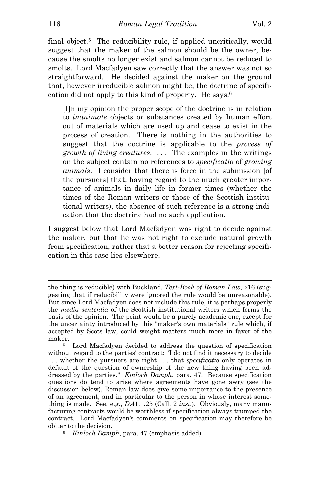final object.<sup>5</sup> The reducibility rule, if applied uncritically, would suggest that the maker of the salmon should be the owner, because the smolts no longer exist and salmon cannot be reduced to smolts. Lord Macfadyen saw correctly that the answer was not so straightforward. He decided against the maker on the ground that, however irreducible salmon might be, the doctrine of specification did not apply to this kind of property. He says:6

[I]n my opinion the proper scope of the doctrine is in relation to *inanimate* objects or substances created by human effort out of materials which are used up and cease to exist in the process of creation. There is nothing in the authorities to suggest that the doctrine is applicable to the *process of growth of living creatures*. . . . The examples in the writings on the subject contain no references to *specificatio* of *growing animals*. I consider that there is force in the submission [of the pursuers] that, having regard to the much greater importance of animals in daily life in former times (whether the times of the Roman writers or those of the Scottish institutional writers), the absence of such reference is a strong indication that the doctrine had no such application.

I suggest below that Lord Macfadyen was right to decide against the maker, but that he was not right to exclude natural growth from specification, rather that a better reason for rejecting specification in this case lies elsewhere.

the thing is reducible) with Buckland, *Text-Book of Roman Law*, 216 (suggesting that if reducibility were ignored the rule would be unreasonable). But since Lord Macfadyen does not include this rule, it is perhaps properly the *media sententia* of the Scottish institutional writers which forms the basis of the opinion. The point would be a purely academic one, except for the uncertainty introduced by this "maker's own materials" rule which, if accepted by Scots law, could weight matters much more in favor of the

maker. 5 Lord Macfadyen decided to address the question of specification without regard to the parties' contract: "I do not find it necessary to decide . . . whether the pursuers are right . . . that *specificatio* only operates in default of the question of ownership of the new thing having been addressed by the parties." *Kinloch Damph*, para. 47. Because specification questions do tend to arise where agreements have gone awry (see the discussion below), Roman law does give some importance to the presence of an agreement, and in particular to the person in whose interest something is made. See, e.g., *D*.41.1.25 (Call. 2 *inst*.). Obviously, many manufacturing contracts would be worthless if specification always trumped the contract. Lord Macfadyen's comments on specification may therefore be obiter to the decision. 6 *Kinloch Damph*, para. 47 (emphasis added).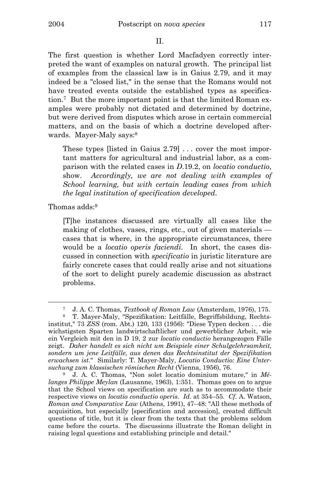The first question is whether Lord Macfadyen correctly interpreted the want of examples on natural growth. The principal list of examples from the classical law is in Gaius 2.79, and it may indeed be a "closed list," in the sense that the Romans would not have treated events outside the established types as specification.7 But the more important point is that the limited Roman examples were probably not dictated and determined by doctrine, but were derived from disputes which arose in certain commercial matters, and on the basis of which a doctrine developed afterwards. Mayer-Maly says:8

These types [listed in Gaius 2.79] ... cover the most important matters for agricultural and industrial labor, as a comparison with the related cases in *D*.19.2, on *locatio conductio*, show. *Accordingly, we are not dealing with examples of School learning, but with certain leading cases from which the legal institution of specification developed*.

Thomas adds:9

i

[T]he instances discussed are virtually all cases like the making of clothes, vases, rings, etc., out of given materials cases that is where, in the appropriate circumstances, there would be a *locatio operis faciendi*. In short, the cases discussed in connection with *specificatio* in juristic literature are fairly concrete cases that could really arise and not situations of the sort to delight purely academic discussion as abstract problems.

<sup>7</sup> J. A. C. Thomas, *Textbook of Roman Law* (Amsterdam, 1976), 175. 8 T. Mayer-Maly, "Spezifikation: Leitfälle, Begriffsbildung, Rechts-

institut," 73 *ZSS* (rom. Abt.) 120, 133 (1956): "Diese Typen decken . . . die wichstigsten Sparten landwirtschaftlicher und gewerblicher Arbeit, wie ein Vergleich mit den in D 19, 2 zur *locatio conductio* herangezogen Fälle zeigt. *Daher handelt es sich nicht um Beispiele einer Schulgelehrsamkeit, sondern um jene Leitfälle, aus denen das Rechtsinstitut der Spezifikation erwachsen ist*." Similarly: T. Mayer-Maly, *Locatio Conductio: Eine Untersuchung zum klassischen römischen Recht* (Vienna, 1956), 76. 9 J. A. C. Thomas, "Non solet locatio dominium mutare," in *Mé-*

*langes Philippe Meylan* (Lausanne, 1963), 1:351. Thomas goes on to argue that the School views on specification are such as to accommodate their respective views on *locatio conductio operis*. *Id*. at 354–55. *Cf*. A. Watson, *Roman and Comparative Law* (Athens, 1991), 47–48: "All these methods of acquisition, but especially [specification and accession], created difficult questions of title, but it is clear from the texts that the problems seldom came before the courts. The discussions illustrate the Roman delight in raising legal questions and establishing principle and detail."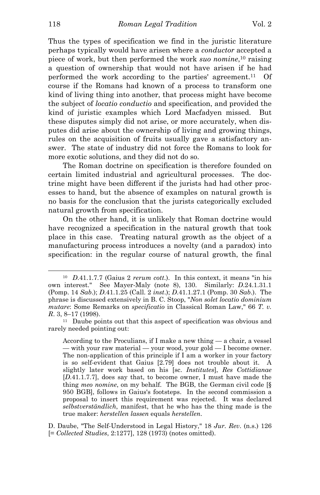Thus the types of specification we find in the juristic literature perhaps typically would have arisen where a *conductor* accepted a piece of work, but then performed the work *suo nomine*, 10 raising a question of ownership that would not have arisen if he had performed the work according to the parties' agreement.<sup>11</sup> Of course if the Romans had known of a process to transform one kind of living thing into another, that process might have become the subject of *locatio conductio* and specification, and provided the kind of juristic examples which Lord Macfadyen missed. But these disputes simply did not arise, or more accurately, when disputes did arise about the ownership of living and growing things, rules on the acquisition of fruits usually gave a satisfactory answer. The state of industry did not force the Romans to look for more exotic solutions, and they did not do so.

 The Roman doctrine on specification is therefore founded on certain limited industrial and agricultural processes. The doctrine might have been different if the jurists had had other processes to hand, but the absence of examples on natural growth is no basis for the conclusion that the jurists categorically excluded natural growth from specification.

 On the other hand, it is unlikely that Roman doctrine would have recognized a specification in the natural growth that took place in this case. Treating natural growth as the object of a manufacturing process introduces a novelty (and a paradox) into specification: in the regular course of natural growth, the final

D. Daube, "The Self-Understood in Legal History," 18 *Jur. Rev*. (n.s.) 126 [= *Collected Studies*, 2:1277], 128 (1973) (notes omitted).

<sup>10</sup> *D*.41.1.7.7 (Gaius 2 *rerum cott*.). In this context, it means "in his own interest." See Mayer-Maly (note 8), 130. Similarly: *D*.24.1.31.1 (Pomp. 14 *Sab*.); *D*.41.1.25 (Call. 2 *inst*.); *D*.41.1.27.1 (Pomp. 30 *Sab*.). The phrase is discussed extensively in B. C. Stoop, "*Non solet locatio dominium mutare*: Some Remarks on *specificatio* in Classical Roman Law," 66 *T. v. R.* 3, 8–17 (1998).<br><sup>11</sup> Daube points out that this aspect of specification was obvious and

rarely needed pointing out:

According to the Proculians, if I make a new thing *—* a chair, a vessel *—* with your raw material *—* your wood, your gold *—* I become owner. The non-application of this principle if I am a worker in your factory is so self-evident that Gaius [2.79] does not trouble about it. A slightly later work based on his [sc. *Institutes*], *Res Cottidianae* [*D*.41.1.7.7], does say that, to become owner, I must have made the thing *meo nomine*, on my behalf. The BGB, the German civil code [§ 950 BGB], follows in Gaius's footsteps. In the second commission a proposal to insert this requirement was rejected. It was declared *selbstverständlich*, manifest, that he who has the thing made is the true maker: *herstellen lassen* equals *herstellen*.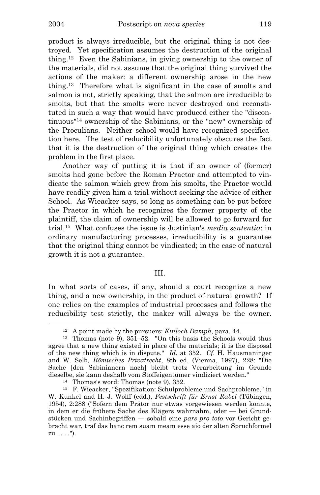product is always irreducible, but the original thing is not destroyed. Yet specification assumes the destruction of the original thing.12 Even the Sabinians, in giving ownership to the owner of the materials, did not assume that the original thing survived the actions of the maker: a different ownership arose in the new thing.13 Therefore what is significant in the case of smolts and salmon is not, strictly speaking, that the salmon are irreducible to smolts, but that the smolts were never destroyed and reconstituted in such a way that would have produced either the "discontinuous"14 ownership of the Sabinians, or the "new" ownership of the Proculians. Neither school would have recognized specification here. The test of reducibility unfortunately obscures the fact that it is the destruction of the original thing which creates the problem in the first place.

 Another way of putting it is that if an owner of (former) smolts had gone before the Roman Praetor and attempted to vindicate the salmon which grew from his smolts, the Praetor would have readily given him a trial without seeking the advice of either School. As Wieacker says, so long as something can be put before the Praetor in which he recognizes the former property of the plaintiff, the claim of ownership will be allowed to go forward for trial.15 What confuses the issue is Justinian's *media sententia*: in ordinary manufacturing processes, irreducibility is a guarantee that the original thing cannot be vindicated; in the case of natural growth it is not a guarantee.

## III.

In what sorts of cases, if any, should a court recognize a new thing, and a new ownership, in the product of natural growth? If one relies on the examples of industrial processes and follows the reducibility test strictly, the maker will always be the owner.

<sup>&</sup>lt;sup>12</sup> A point made by the pursuers: *Kinloch Damph*, para. 44.<br><sup>13</sup> Thomas (note 9), 351–52. "On this basis the Schools would thus agree that a new thing existed in place of the materials; it is the disposal of the new thing which is in dispute." *Id*. at 352. *Cf*. H. Hausmaninger and W. Selb, *Römisches Privatrecht*, 8th ed. (Vienna, 1997), 228: "Die Sache [den Sabinianern nach] bleibt trotz Verarbeitung im Grunde dieselbe, sie kann deshalb vom Stoffeigentümer vindiziert werden." 14 Thomas's word: Thomas (note 9), 352.

<sup>15</sup> F. Wieacker, "Spezifikation: Schulprobleme und Sachprobleme," in W. Kunkel and H. J. Wolff (edd.), *Festschrift für Ernst Rabel* (Tübingen, 1954), 2:288 ("Sofern dem Prätor nur etwas vorgewiesen werden konnte, in dem er die frühere Sache des Klägers wahrnahm, oder *—* bei Grundstücken und Sachinbegriffen *—* sobald eine *pars pro toto* vor Gericht gebracht war, traf das hanc rem suam meam esse aio der alten Spruchformel  $zu \ldots$ .").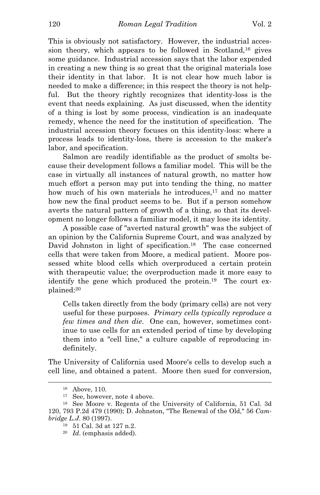This is obviously not satisfactory. However, the industrial accession theory, which appears to be followed in Scotland,16 gives some guidance. Industrial accession says that the labor expended in creating a new thing is so great that the original materials lose their identity in that labor. It is not clear how much labor is needed to make a difference; in this respect the theory is not helpful. But the theory rightly recognizes that identity-loss is the event that needs explaining. As just discussed, when the identity of a thing is lost by some process, vindication is an inadequate remedy, whence the need for the institution of specification. The industrial accession theory focuses on this identity-loss: where a process leads to identity-loss, there is accession to the maker's labor, and specification.

 Salmon are readily identifiable as the product of smolts because their development follows a familiar model. This will be the case in virtually all instances of natural growth, no matter how much effort a person may put into tending the thing, no matter how much of his own materials he introduces,<sup>17</sup> and no matter how new the final product seems to be. But if a person somehow averts the natural pattern of growth of a thing, so that its development no longer follows a familiar model, it may lose its identity.

 A possible case of "averted natural growth" was the subject of an opinion by the California Supreme Court, and was analyzed by David Johnston in light of specification.<sup>18</sup> The case concerned cells that were taken from Moore, a medical patient. Moore possessed white blood cells which overproduced a certain protein with therapeutic value; the overproduction made it more easy to identify the gene which produced the protein.<sup>19</sup> The court explained:20

Cells taken directly from the body (primary cells) are not very useful for these purposes. *Primary cells typically reproduce a few times and then die*. One can, however, sometimes continue to use cells for an extended period of time by developing them into a "cell line," a culture capable of reproducing indefinitely.

The University of California used Moore's cells to develop such a cell line, and obtained a patent. Moore then sued for conversion,

<sup>16</sup> Above, 110.

<sup>&</sup>lt;sup>17</sup> See, however, note 4 above.<br><sup>18</sup> See Moore v. Regents of the University of California, 51 Cal. 3d 120, 793 P.2d 479 (1990); D. Johnston, "The Renewal of the Old," 56 *Cambridge L.J.* 80 (1997).<br><sup>19</sup> 51 Cal. 3d at 127 n.2.

<sup>20</sup> *Id*. (emphasis added).